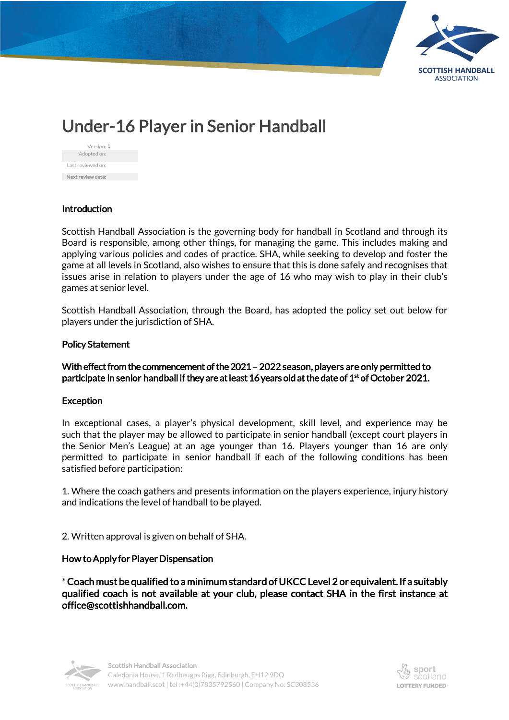

# Under-16 Player in Senior Handball

| Version: 1        |  |
|-------------------|--|
| Adopted on:       |  |
| Last reviewed on: |  |
| Next review date: |  |

## **Introduction**

Scottish Handball Association is the governing body for handball in Scotland and through its Board is responsible, among other things, for managing the game. This includes making and applying various policies and codes of practice. SHA, while seeking to develop and foster the game at all levels in Scotland, also wishes to ensure that this is done safely and recognises that issues arise in relation to players under the age of 16 who may wish to play in their club's games at senior level.

Scottish Handball Association, through the Board, has adopted the policy set out below for players under the jurisdiction of SHA.

#### Policy Statement

## With effect from the commencement of the 2021 – 2022 season, players are only permitted to participate in senior handball if they are at least 16 years old at the date of 1st of October 2021.

#### **Exception**

In exceptional cases, a player's physical development, skill level, and experience may be such that the player may be allowed to participate in senior handball (except court players in the Senior Men's League) at an age younger than 16. Players younger than 16 are only permitted to participate in senior handball if each of the following conditions has been satisfied before participation:

1. Where the coach gathers and presents information on the players experience, injury history and indications the level of handball to be played.

2. Written approval is given on behalf of SHA.

## How to Apply for Player Dispensation

\* Coach must be qualified to a minimum standard of UKCC Level 2 or equivalent. If a suitably qualified coach is not available at your club, please contact SHA in the first instance at office@scottishhandball.com.